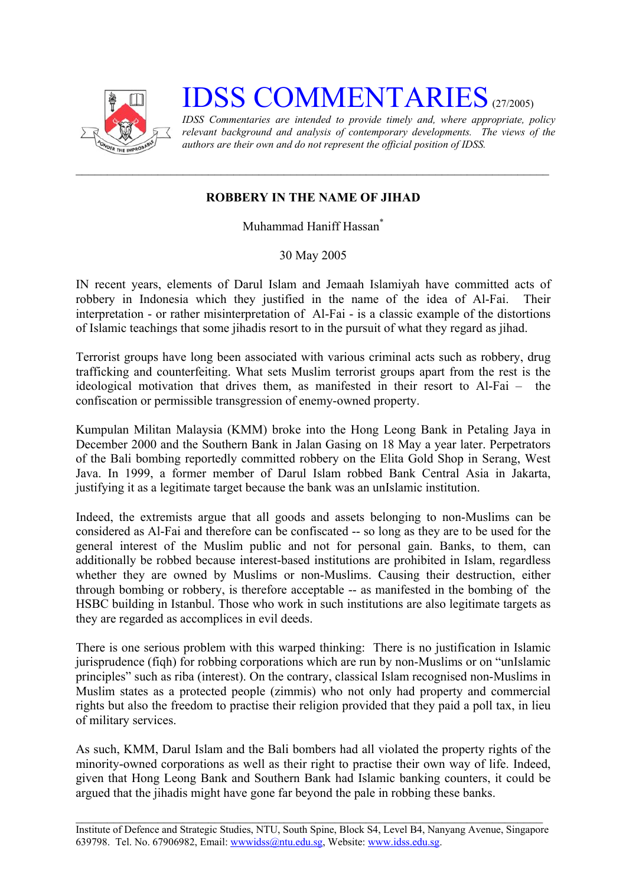

## **IDSS COMMENTARIES** (27/2005)

*IDSS Commentaries are intended to provide timely and, where appropriate, policy relevant background and analysis of contemporary developments. The views of the authors are their own and do not represent the official position of IDSS.* 

## **ROBBERY IN THE NAME OF JIHAD**

Muhammad Haniff Hassa[n\\*](#page-2-0)

30 May 2005

IN recent years, elements of Darul Islam and Jemaah Islamiyah have committed acts of robbery in Indonesia which they justified in the name of the idea of Al-Fai. Their interpretation - or rather misinterpretation of Al-Fai - is a classic example of the distortions of Islamic teachings that some jihadis resort to in the pursuit of what they regard as jihad.

Terrorist groups have long been associated with various criminal acts such as robbery, drug trafficking and counterfeiting. What sets Muslim terrorist groups apart from the rest is the ideological motivation that drives them, as manifested in their resort to Al-Fai – the confiscation or permissible transgression of enemy-owned property.

Kumpulan Militan Malaysia (KMM) broke into the Hong Leong Bank in Petaling Jaya in December 2000 and the Southern Bank in Jalan Gasing on 18 May a year later. Perpetrators of the Bali bombing reportedly committed robbery on the Elita Gold Shop in Serang, West Java. In 1999, a former member of Darul Islam robbed Bank Central Asia in Jakarta, justifying it as a legitimate target because the bank was an unIslamic institution.

Indeed, the extremists argue that all goods and assets belonging to non-Muslims can be considered as Al-Fai and therefore can be confiscated -- so long as they are to be used for the general interest of the Muslim public and not for personal gain. Banks, to them, can additionally be robbed because interest-based institutions are prohibited in Islam, regardless whether they are owned by Muslims or non-Muslims. Causing their destruction, either through bombing or robbery, is therefore acceptable -- as manifested in the bombing of the HSBC building in Istanbul. Those who work in such institutions are also legitimate targets as they are regarded as accomplices in evil deeds.

There is one serious problem with this warped thinking: There is no justification in Islamic jurisprudence (fiqh) for robbing corporations which are run by non-Muslims or on "unIslamic principles" such as riba (interest). On the contrary, classical Islam recognised non-Muslims in Muslim states as a protected people (zimmis) who not only had property and commercial rights but also the freedom to practise their religion provided that they paid a poll tax, in lieu of military services.

As such, KMM, Darul Islam and the Bali bombers had all violated the property rights of the minority-owned corporations as well as their right to practise their own way of life. Indeed, given that Hong Leong Bank and Southern Bank had Islamic banking counters, it could be argued that the jihadis might have gone far beyond the pale in robbing these banks.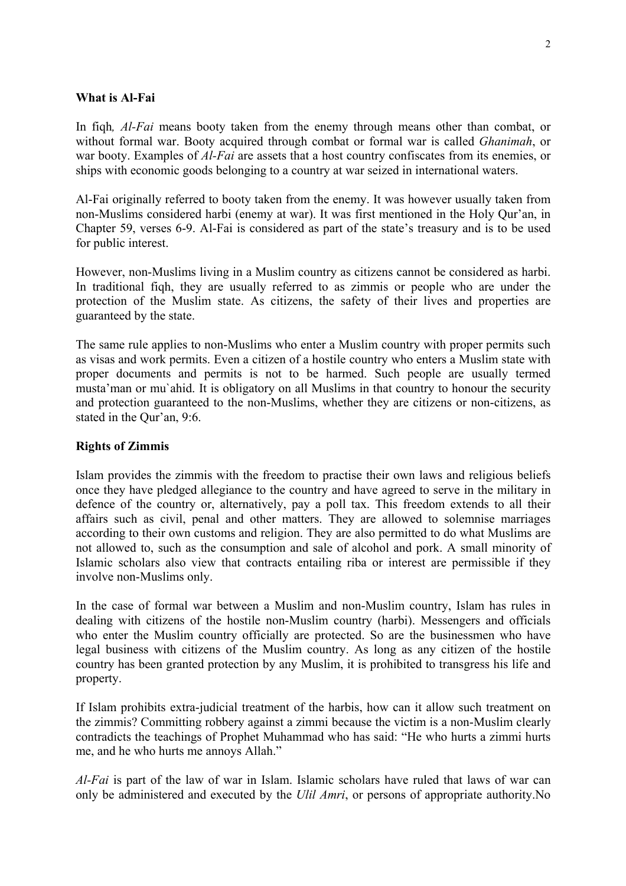## **What is Al-Fai**

In fiqh*, Al-Fai* means booty taken from the enemy through means other than combat, or without formal war. Booty acquired through combat or formal war is called *Ghanimah*, or war booty. Examples of *Al-Fai* are assets that a host country confiscates from its enemies, or ships with economic goods belonging to a country at war seized in international waters.

Al-Fai originally referred to booty taken from the enemy. It was however usually taken from non-Muslims considered harbi (enemy at war). It was first mentioned in the Holy Qur'an, in Chapter 59, verses 6-9. Al-Fai is considered as part of the state's treasury and is to be used for public interest.

However, non-Muslims living in a Muslim country as citizens cannot be considered as harbi. In traditional fiqh, they are usually referred to as zimmis or people who are under the protection of the Muslim state. As citizens, the safety of their lives and properties are guaranteed by the state.

The same rule applies to non-Muslims who enter a Muslim country with proper permits such as visas and work permits. Even a citizen of a hostile country who enters a Muslim state with proper documents and permits is not to be harmed. Such people are usually termed musta'man or mu`ahid. It is obligatory on all Muslims in that country to honour the security and protection guaranteed to the non-Muslims, whether they are citizens or non-citizens, as stated in the Qur'an, 9:6.

## **Rights of Zimmis**

Islam provides the zimmis with the freedom to practise their own laws and religious beliefs once they have pledged allegiance to the country and have agreed to serve in the military in defence of the country or, alternatively, pay a poll tax. This freedom extends to all their affairs such as civil, penal and other matters. They are allowed to solemnise marriages according to their own customs and religion. They are also permitted to do what Muslims are not allowed to, such as the consumption and sale of alcohol and pork. A small minority of Islamic scholars also view that contracts entailing riba or interest are permissible if they involve non-Muslims only.

In the case of formal war between a Muslim and non-Muslim country, Islam has rules in dealing with citizens of the hostile non-Muslim country (harbi). Messengers and officials who enter the Muslim country officially are protected. So are the businessmen who have legal business with citizens of the Muslim country. As long as any citizen of the hostile country has been granted protection by any Muslim, it is prohibited to transgress his life and property.

If Islam prohibits extra-judicial treatment of the harbis, how can it allow such treatment on the zimmis? Committing robbery against a zimmi because the victim is a non-Muslim clearly contradicts the teachings of Prophet Muhammad who has said: "He who hurts a zimmi hurts me, and he who hurts me annoys Allah."

*Al-Fai* is part of the law of war in Islam. Islamic scholars have ruled that laws of war can only be administered and executed by the *Ulil Amri*, or persons of appropriate authority.No